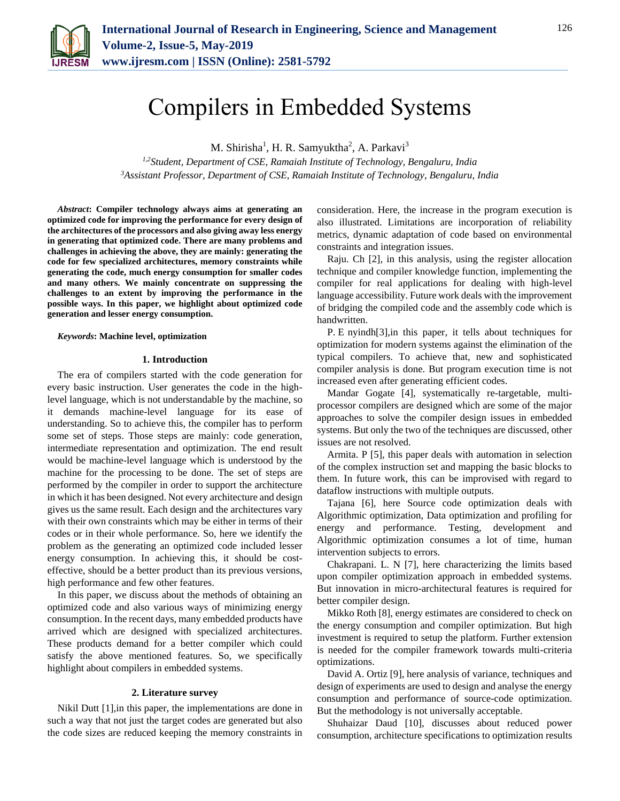

# Compilers in Embedded Systems

M. Shirisha<sup>1</sup>, H. R. Samyuktha<sup>2</sup>, A. Parkavi<sup>3</sup>

*1,2Student, Department of CSE, Ramaiah Institute of Technology, Bengaluru, India 3Assistant Professor, Department of CSE, Ramaiah Institute of Technology, Bengaluru, India*

*Abstract***: Compiler technology always aims at generating an optimized code for improving the performance for every design of the architectures of the processors and also giving away less energy in generating that optimized code. There are many problems and challenges in achieving the above, they are mainly: generating the code for few specialized architectures, memory constraints while generating the code, much energy consumption for smaller codes and many others. We mainly concentrate on suppressing the challenges to an extent by improving the performance in the possible ways. In this paper, we highlight about optimized code generation and lesser energy consumption.**

#### *Keywords***: Machine level, optimization**

#### **1. Introduction**

The era of compilers started with the code generation for every basic instruction. User generates the code in the highlevel language, which is not understandable by the machine, so it demands machine-level language for its ease of understanding. So to achieve this, the compiler has to perform some set of steps. Those steps are mainly: code generation, intermediate representation and optimization. The end result would be machine-level language which is understood by the machine for the processing to be done. The set of steps are performed by the compiler in order to support the architecture in which it has been designed. Not every architecture and design gives us the same result. Each design and the architectures vary with their own constraints which may be either in terms of their codes or in their whole performance. So, here we identify the problem as the generating an optimized code included lesser energy consumption. In achieving this, it should be costeffective, should be a better product than its previous versions, high performance and few other features.

In this paper, we discuss about the methods of obtaining an optimized code and also various ways of minimizing energy consumption. In the recent days, many embedded products have arrived which are designed with specialized architectures. These products demand for a better compiler which could satisfy the above mentioned features. So, we specifically highlight about compilers in embedded systems.

## **2. Literature survey**

Nikil Dutt [1],in this paper, the implementations are done in such a way that not just the target codes are generated but also the code sizes are reduced keeping the memory constraints in

consideration. Here, the increase in the program execution is also illustrated. Limitations are incorporation of reliability metrics, dynamic adaptation of code based on environmental constraints and integration issues.

Raju. Ch [2], in this analysis, using the register allocation technique and compiler knowledge function, implementing the compiler for real applications for dealing with high-level language accessibility. Future work deals with the improvement of bridging the compiled code and the assembly code which is handwritten.

P. E nyindh[3],in this paper, it tells about techniques for optimization for modern systems against the elimination of the typical compilers. To achieve that, new and sophisticated compiler analysis is done. But program execution time is not increased even after generating efficient codes.

Mandar Gogate [4], systematically re-targetable, multiprocessor compilers are designed which are some of the major approaches to solve the compiler design issues in embedded systems. But only the two of the techniques are discussed, other issues are not resolved.

Armita. P [5], this paper deals with automation in selection of the complex instruction set and mapping the basic blocks to them. In future work, this can be improvised with regard to dataflow instructions with multiple outputs.

Tajana [6], here Source code optimization deals with Algorithmic optimization, Data optimization and profiling for energy and performance. Testing, development and Algorithmic optimization consumes a lot of time, human intervention subjects to errors.

Chakrapani. L. N [7], here characterizing the limits based upon compiler optimization approach in embedded systems. But innovation in micro-architectural features is required for better compiler design.

Mikko Roth [8], energy estimates are considered to check on the energy consumption and compiler optimization. But high investment is required to setup the platform. Further extension is needed for the compiler framework towards multi-criteria optimizations.

David A. Ortiz [9], here analysis of variance, techniques and design of experiments are used to design and analyse the energy consumption and performance of source-code optimization. But the methodology is not universally acceptable.

Shuhaizar Daud [10], discusses about reduced power consumption, architecture specifications to optimization results